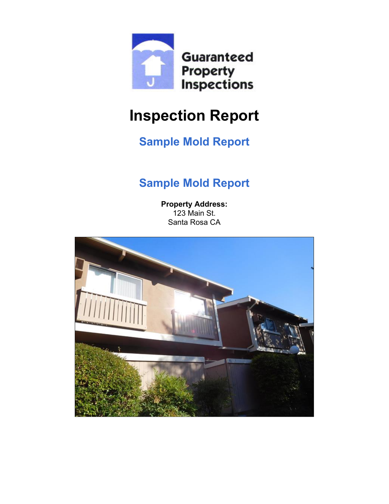<span id="page-0-0"></span>

# **Inspection Report**

# **Sample Mold Report**

# **Sample Mold Report**

**Property Address:** 123 Main St. Santa Rosa CA

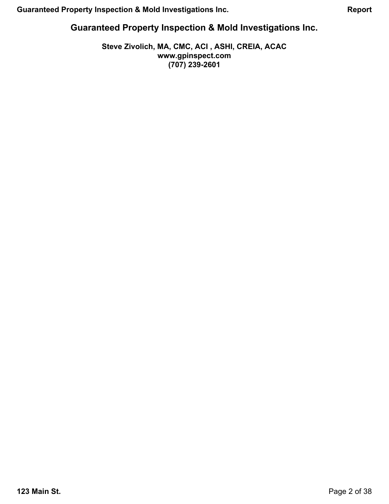### **Guaranteed Property Inspection & Mold Investigations Inc.**

### **Steve Zivolich, MA, CMC, ACI , ASHI, CREIA, ACAC www.gpinspect.com (707) 239-2601**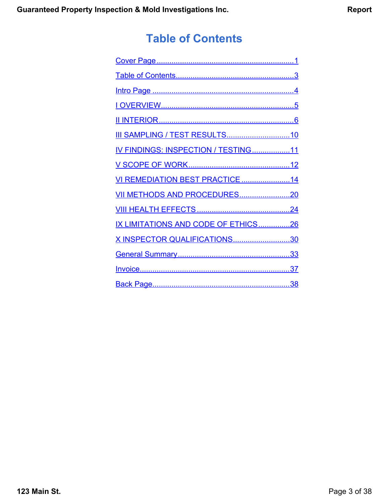# **Table of Contents**

<span id="page-2-0"></span>

| IV FINDINGS: INSPECTION / TESTING11 |
|-------------------------------------|
|                                     |
| VI REMEDIATION BEST PRACTICE14      |
|                                     |
|                                     |
| IX LIMITATIONS AND CODE OF ETHICS26 |
| X INSPECTOR QUALIFICATIONS30        |
|                                     |
|                                     |
|                                     |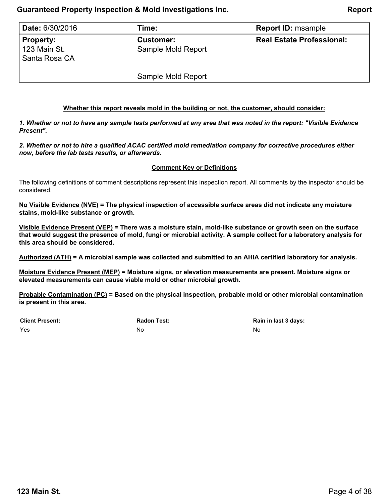### **Guaranteed Property Inspection & Mold Investigations Inc. Report**

<span id="page-3-0"></span>

| <b>Date: 6/30/2016</b>                            | Time:                                  | <b>Report ID: msample</b>        |
|---------------------------------------------------|----------------------------------------|----------------------------------|
| <b>Property:</b><br>123 Main St.<br>Santa Rosa CA | <b>Customer:</b><br>Sample Mold Report | <b>Real Estate Professional:</b> |
|                                                   | Sample Mold Report                     |                                  |

#### **Whether this report reveals mold in the building or not, the customer, should consider:**

*1. Whether or not to have any sample tests performed at any area that was noted in the report: "Visible Evidence Present".*

*2. Whether or not to hire a qualified ACAC certified mold remediation company for corrective procedures either now, before the lab tests results, or afterwards.*

#### **Comment Key or Definitions**

The following definitions of comment descriptions represent this inspection report. All comments by the inspector should be considered.

**No Visible Evidence (NVE) = The physical inspection of accessible surface areas did not indicate any moisture stains, mold-like substance or growth.**

**Visible Evidence Present (VEP) = There was a moisture stain, mold-like substance or growth seen on the surface that would suggest the presence of mold, fungi or microbial activity. A sample collect for a laboratory analysis for this area should be considered.**

**Authorized (ATH) = A microbial sample was collected and submitted to an AHIA certified laboratory for analysis.**

**Moisture Evidence Present (MEP) = Moisture signs, or elevation measurements are present. Moisture signs or elevated measurements can cause viable mold or other microbial growth.**

**Probable Contamination (PC) = Based on the physical inspection, probable mold or other microbial contamination is present in this area.**

**Client Present:**

Yes

**Radon Test:** No

**Rain in last 3 days:** No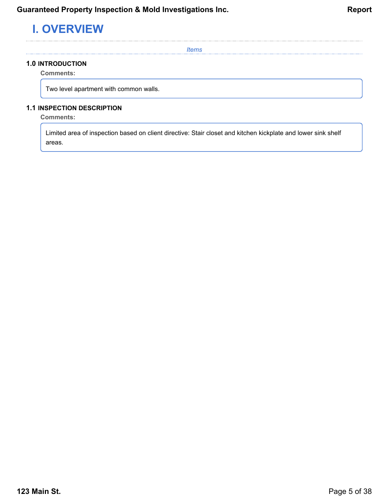# <span id="page-4-0"></span>**I. OVERVIEW**

*Items*

### **1.0 INTRODUCTION**

**Comments:**

Two level apartment with common walls.

### **1.1 INSPECTION DESCRIPTION**

### **Comments:**

Limited area of inspection based on client directive: Stair closet and kitchen kickplate and lower sink shelf areas.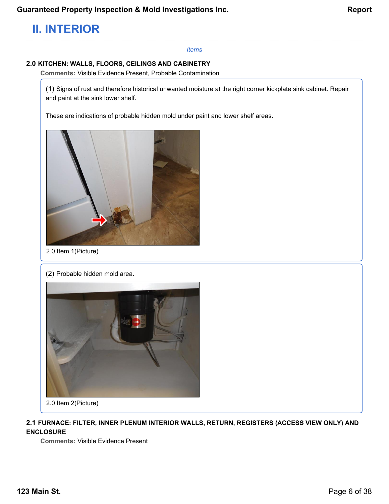# <span id="page-5-0"></span>**II. INTERIOR**

### *Items*

### **2.0 KITCHEN: WALLS, FLOORS, CEILINGS AND CABINETRY**

**Comments:** Visible Evidence Present, Probable Contamination

(1) Signs of rust and therefore historical unwanted moisture at the right corner kickplate sink cabinet. Repair and paint at the sink lower shelf.

These are indications of probable hidden mold under paint and lower shelf areas.



2.0 Item 1(Picture)

(2) Probable hidden mold area.



2.0 Item 2(Picture)

### **2.1 FURNACE: FILTER, INNER PLENUM INTERIOR WALLS, RETURN, REGISTERS (ACCESS VIEW ONLY) AND ENCLOSURE**

**Comments:** Visible Evidence Present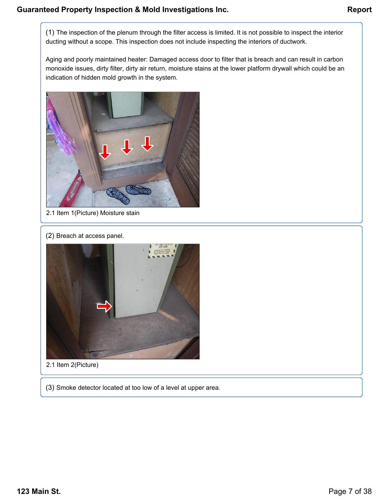(1) The inspection of the plenum through the filter access is limited. It is not possible to inspect the interior ducting without a scope. This inspection does not include inspecting the interiors of ductwork.

Aging and poorly maintained heater: Damaged access door to filter that is breach and can result in carbon monoxide issues, dirty filter, dirty air return, moisture stains at the lower platform drywall which could be an indication of hidden mold growth in the system.



2.1 Item 1(Picture) Moisture stain

(2) Breach at access panel.



2.1 Item 2(Picture)

(3) Smoke detector located at too low of a level at upper area.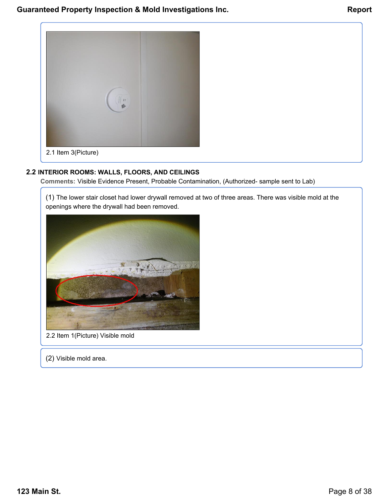

### **2.2 INTERIOR ROOMS: WALLS, FLOORS, AND CEILINGS**

**Comments:** Visible Evidence Present, Probable Contamination, (Authorized- sample sent to Lab)

(1) The lower stair closet had lower drywall removed at two of three areas. There was visible mold at the openings where the drywall had been removed.



2.2 Item 1(Picture) Visible mold

(2) Visible mold area.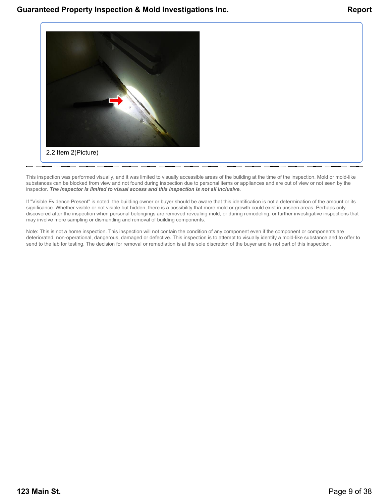

This inspection was performed visually, and it was limited to visually accessible areas of the building at the time of the inspection. Mold or mold-like substances can be blocked from view and not found during inspection due to personal items or appliances and are out of view or not seen by the inspector. *The inspector is limited to visual access and this inspection is not all inclusive.*

If "Visible Evidence Present" is noted, the building owner or buyer should be aware that this identification is not a determination of the amount or its significance. Whether visible or not visible but hidden, there is a possibility that more mold or growth could exist in unseen areas. Perhaps only discovered after the inspection when personal belongings are removed revealing mold, or during remodeling, or further investigative inspections that may involve more sampling or dismantling and removal of building components.

Note: This is not a home inspection. This inspection will not contain the condition of any component even if the component or components are deteriorated, non-operational, dangerous, damaged or defective. This inspection is to attempt to visually identify a mold-like substance and to offer to send to the lab for testing. The decision for removal or remediation is at the sole discretion of the buyer and is not part of this inspection.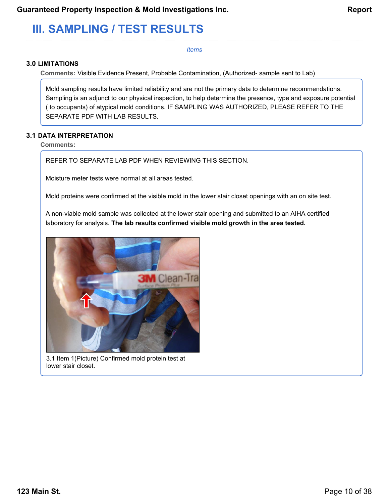# <span id="page-9-0"></span>**III. SAMPLING / TEST RESULTS**

*Items*

### **3.0 LIMITATIONS**

**Comments:** Visible Evidence Present, Probable Contamination, (Authorized- sample sent to Lab)

Mold sampling results have limited reliability and are not the primary data to determine recommendations. Sampling is an adjunct to our physical inspection, to help determine the presence, type and exposure potential ( to occupants) of atypical mold conditions. IF SAMPLING WAS AUTHORIZED, PLEASE REFER TO THE SEPARATE PDF WITH LAB RESULTS.

### **3.1 DATA INTERPRETATION**

**Comments:**

REFER TO SEPARATE LAB PDF WHEN REVIEWING THIS SECTION.

Moisture meter tests were normal at all areas tested.

Mold proteins were confirmed at the visible mold in the lower stair closet openings with an on site test.

A non-viable mold sample was collected at the lower stair opening and submitted to an AIHA certified laboratory for analysis. **The lab results confirmed visible mold growth in the area tested.**



3.1 Item 1(Picture) Confirmed mold protein test at lower stair closet.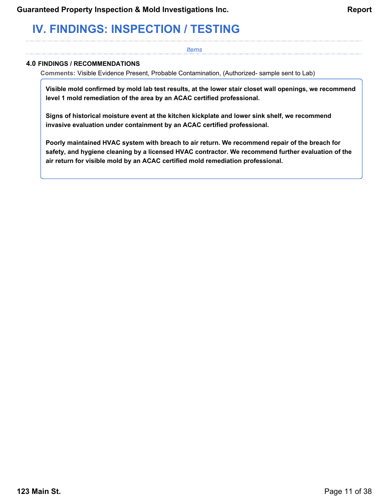# <span id="page-10-0"></span>**IV. FINDINGS: INSPECTION / TESTING**

#### *Items*

### **4.0 FINDINGS / RECOMMENDATIONS**

**Comments:** Visible Evidence Present, Probable Contamination, (Authorized- sample sent to Lab)

**Visible mold confirmed by mold lab test results, at the lower stair closet wall openings, we recommend level 1 mold remediation of the area by an ACAC certified professional.**

**Signs of historical moisture event at the kitchen kickplate and lower sink shelf, we recommend invasive evaluation under containment by an ACAC certified professional.**

**Poorly maintained HVAC system with breach to air return. We recommend repair of the breach for safety, and hygiene cleaning by a licensed HVAC contractor. We recommend further evaluation of the air return for visible mold by an ACAC certified mold remediation professional.**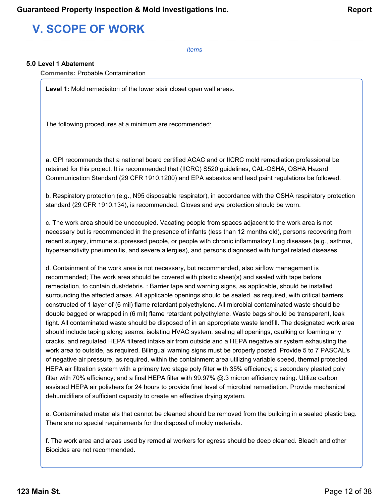# <span id="page-11-0"></span>**V. SCOPE OF WORK**

*Items*

### **5.0 Level 1 Abatement**

**Comments:** Probable Contamination

**Level 1:** Mold remediaiton of the lower stair closet open wall areas.

The following procedures at a minimum are recommended:

a. GPI recommends that a national board certified ACAC and or IICRC mold remediation professional be retained for this project. It is recommended that (IICRC) S520 guidelines, CAL-OSHA, OSHA Hazard Communication Standard (29 CFR 1910.1200) and EPA asbestos and lead paint regulations be followed.

b. Respiratory protection (e.g., N95 disposable respirator), in accordance with the OSHA respiratory protection standard (29 CFR 1910.134), is recommended. Gloves and eye protection should be worn.

c. The work area should be unoccupied. Vacating people from spaces adjacent to the work area is not necessary but is recommended in the presence of infants (less than 12 months old), persons recovering from recent surgery, immune suppressed people, or people with chronic inflammatory lung diseases (e.g., asthma, hypersensitivity pneumonitis, and severe allergies), and persons diagnosed with fungal related diseases.

d. Containment of the work area is not necessary, but recommended, also airflow management is recommended; The work area should be covered with plastic sheet(s) and sealed with tape before remediation, to contain dust/debris. : Barrier tape and warning signs, as applicable, should be installed surrounding the affected areas. All applicable openings should be sealed, as required, with critical barriers constructed of 1 layer of (6 mil) flame retardant polyethylene. All microbial contaminated waste should be double bagged or wrapped in (6 mil) flame retardant polyethylene. Waste bags should be transparent, leak tight. All contaminated waste should be disposed of in an appropriate waste landfill. The designated work area should include taping along seams, isolating HVAC system, sealing all openings, caulking or foaming any cracks, and regulated HEPA filtered intake air from outside and a HEPA negative air system exhausting the work area to outside, as required. Bilingual warning signs must be properly posted. Provide 5 to 7 PASCAL's of negative air pressure, as required, within the containment area utilizing variable speed, thermal protected HEPA air filtration system with a primary two stage poly filter with 35% efficiency; a secondary pleated poly filter with 70% efficiency; and a final HEPA filter with 99.97% @.3 micron efficiency rating. Utilize carbon assisted HEPA air polishers for 24 hours to provide final level of microbial remediation. Provide mechanical dehumidifiers of sufficient capacity to create an effective drying system.

e. Contaminated materials that cannot be cleaned should be removed from the building in a sealed plastic bag. There are no special requirements for the disposal of moldy materials.

f. The work area and areas used by remedial workers for egress should be deep cleaned. Bleach and other Biocides are not recommended.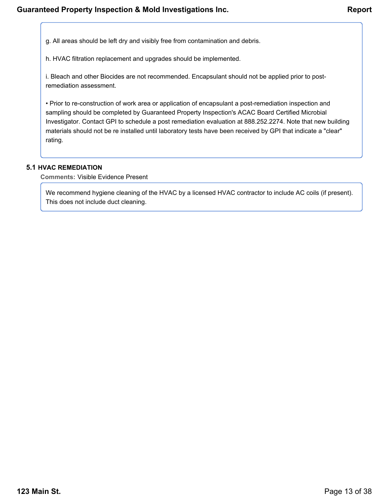g. All areas should be left dry and visibly free from contamination and debris.

h. HVAC filtration replacement and upgrades should be implemented.

i. Bleach and other Biocides are not recommended. Encapsulant should not be applied prior to postremediation assessment.

• Prior to re-construction of work area or application of encapsulant a post-remediation inspection and sampling should be completed by Guaranteed Property Inspection's ACAC Board Certified Microbial Investigator. Contact GPI to schedule a post remediation evaluation at 888.252.2274. Note that new building materials should not be re installed until laboratory tests have been received by GPI that indicate a "clear" rating.

### **5.1 HVAC REMEDIATION**

**Comments:** Visible Evidence Present

We recommend hygiene cleaning of the HVAC by a licensed HVAC contractor to include AC coils (if present). This does not include duct cleaning.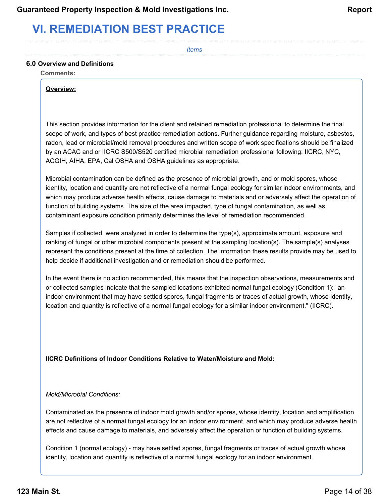# <span id="page-13-0"></span>**VI. REMEDIATION BEST PRACTICE**

*Items*

### **6.0 Overview and Definitions**

**Comments:**

#### **Overview:**

This section provides information for the client and retained remediation professional to determine the final scope of work, and types of best practice remediation actions. Further guidance regarding moisture, asbestos, radon, lead or microbial/mold removal procedures and written scope of work specifications should be finalized by an ACAC and or IICRC S500/S520 certified microbial remediation professional following: IICRC, NYC, ACGIH, AIHA, EPA, Cal OSHA and OSHA guidelines as appropriate.

Microbial contamination can be defined as the presence of microbial growth, and or mold spores, whose identity, location and quantity are not reflective of a normal fungal ecology for similar indoor environments, and which may produce adverse health effects, cause damage to materials and or adversely affect the operation of function of building systems. The size of the area impacted, type of fungal contamination, as well as contaminant exposure condition primarily determines the level of remediation recommended.

Samples if collected, were analyzed in order to determine the type(s), approximate amount, exposure and ranking of fungal or other microbial components present at the sampling location(s). The sample(s) analyses represent the conditions present at the time of collection. The information these results provide may be used to help decide if additional investigation and or remediation should be performed.

In the event there is no action recommended, this means that the inspection observations, measurements and or collected samples indicate that the sampled locations exhibited normal fungal ecology (Condition 1): "an indoor environment that may have settled spores, fungal fragments or traces of actual growth, whose identity, location and quantity is reflective of a normal fungal ecology for a similar indoor environment." (IICRC).

### **IICRC Definitions of Indoor Conditions Relative to Water/Moisture and Mold:**

#### *Mold/Microbial Conditions:*

Contaminated as the presence of indoor mold growth and/or spores, whose identity, location and amplification are not reflective of a normal fungal ecology for an indoor environment, and which may produce adverse health effects and cause damage to materials, and adversely affect the operation or function of building systems.

Condition 1 (normal ecology) - may have settled spores, fungal fragments or traces of actual growth whose identity, location and quantity is reflective of a normal fungal ecology for an indoor environment.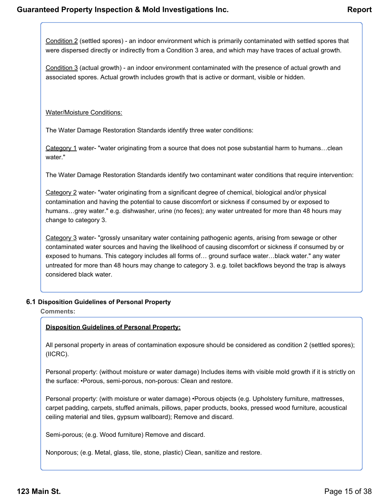Condition 2 (settled spores) - an indoor environment which is primarily contaminated with settled spores that were dispersed directly or indirectly from a Condition 3 area, and which may have traces of actual growth.

Condition 3 (actual growth) - an indoor environment contaminated with the presence of actual growth and associated spores. Actual growth includes growth that is active or dormant, visible or hidden.

### Water/Moisture Conditions:

The Water Damage Restoration Standards identify three water conditions:

Category 1 water- "water originating from a source that does not pose substantial harm to humans...clean water."

The Water Damage Restoration Standards identify two contaminant water conditions that require intervention:

Category 2 water- "water originating from a significant degree of chemical, biological and/or physical contamination and having the potential to cause discomfort or sickness if consumed by or exposed to humans...grey water." e.g. dishwasher, urine (no feces); any water untreated for more than 48 hours may change to category 3.

Category 3 water- "grossly unsanitary water containing pathogenic agents, arising from sewage or other contaminated water sources and having the likelihood of causing discomfort or sickness if consumed by or exposed to humans. This category includes all forms of… ground surface water…black water." any water untreated for more than 48 hours may change to category 3. e.g. toilet backflows beyond the trap is always considered black water.

### **6.1 Disposition Guidelines of Personal Property**

**Comments:**

### **Disposition Guidelines of Personal Property:**

All personal property in areas of contamination exposure should be considered as condition 2 (settled spores); (IICRC).

Personal property: (without moisture or water damage) Includes items with visible mold growth if it is strictly on the surface: •Porous, semi-porous, non-porous: Clean and restore.

Personal property: (with moisture or water damage) •Porous objects (e.g. Upholstery furniture, mattresses, carpet padding, carpets, stuffed animals, pillows, paper products, books, pressed wood furniture, acoustical ceiling material and tiles, gypsum wallboard); Remove and discard.

Semi-porous; (e.g. Wood furniture) Remove and discard.

Nonporous; (e.g. Metal, glass, tile, stone, plastic) Clean, sanitize and restore.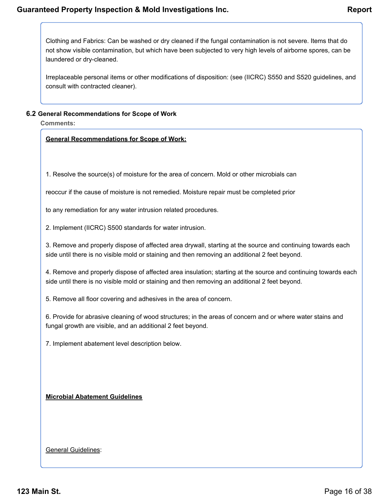Clothing and Fabrics: Can be washed or dry cleaned if the fungal contamination is not severe. Items that do not show visible contamination, but which have been subjected to very high levels of airborne spores, can be laundered or dry-cleaned.

Irreplaceable personal items or other modifications of disposition: (see (IICRC) S550 and S520 guidelines, and consult with contracted cleaner).

### **6.2 General Recommendations for Scope of Work**

**Comments:**

### **General Recommendations for Scope of Work:**

1. Resolve the source(s) of moisture for the area of concern. Mold or other microbials can

reoccur if the cause of moisture is not remedied. Moisture repair must be completed prior

to any remediation for any water intrusion related procedures.

2. Implement (IICRC) S500 standards for water intrusion.

3. Remove and properly dispose of affected area drywall, starting at the source and continuing towards each side until there is no visible mold or staining and then removing an additional 2 feet beyond.

4. Remove and properly dispose of affected area insulation; starting at the source and continuing towards each side until there is no visible mold or staining and then removing an additional 2 feet beyond.

5. Remove all floor covering and adhesives in the area of concern.

6. Provide for abrasive cleaning of wood structures; in the areas of concern and or where water stains and fungal growth are visible, and an additional 2 feet beyond.

7. Implement abatement level description below.

### **Microbial Abatement Guidelines**

### General Guidelines: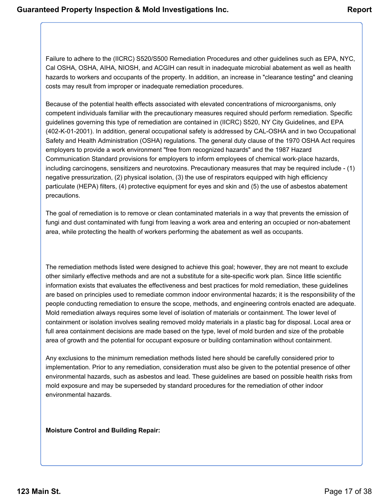Failure to adhere to the (IICRC) S520/S500 Remediation Procedures and other guidelines such as EPA, NYC, Cal OSHA, OSHA, AIHA, NIOSH, and ACGIH can result in inadequate microbial abatement as well as health hazards to workers and occupants of the property. In addition, an increase in "clearance testing" and cleaning costs may result from improper or inadequate remediation procedures.

Because of the potential health effects associated with elevated concentrations of microorganisms, only competent individuals familiar with the precautionary measures required should perform remediation. Specific guidelines governing this type of remediation are contained in (IICRC) S520, NY City Guidelines, and EPA (402-K-01-2001). In addition, general occupational safety is addressed by CAL-OSHA and in two Occupational Safety and Health Administration (OSHA) regulations. The general duty clause of the 1970 OSHA Act requires employers to provide a work environment "free from recognized hazards" and the 1987 Hazard Communication Standard provisions for employers to inform employees of chemical work-place hazards, including carcinogens, sensitizers and neurotoxins. Precautionary measures that may be required include - (1) negative pressurization, (2) physical isolation, (3) the use of respirators equipped with high efficiency particulate (HEPA) filters, (4) protective equipment for eyes and skin and (5) the use of asbestos abatement precautions.

The goal of remediation is to remove or clean contaminated materials in a way that prevents the emission of fungi and dust contaminated with fungi from leaving a work area and entering an occupied or non-abatement area, while protecting the health of workers performing the abatement as well as occupants.

The remediation methods listed were designed to achieve this goal; however, they are not meant to exclude other similarly effective methods and are not a substitute for a site-specific work plan. Since little scientific information exists that evaluates the effectiveness and best practices for mold remediation, these guidelines are based on principles used to remediate common indoor environmental hazards; it is the responsibility of the people conducting remediation to ensure the scope, methods, and engineering controls enacted are adequate. Mold remediation always requires some level of isolation of materials or containment. The lower level of containment or isolation involves sealing removed moldy materials in a plastic bag for disposal. Local area or full area containment decisions are made based on the type, level of mold burden and size of the probable area of growth and the potential for occupant exposure or building contamination without containment.

Any exclusions to the minimum remediation methods listed here should be carefully considered prior to implementation. Prior to any remediation, consideration must also be given to the potential presence of other environmental hazards, such as asbestos and lead. These guidelines are based on possible health risks from mold exposure and may be superseded by standard procedures for the remediation of other indoor environmental hazards.

**Moisture Control and Building Repair:**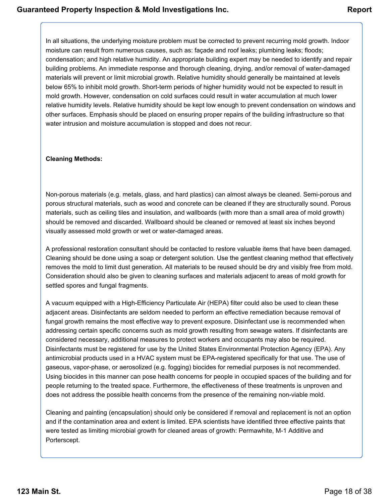In all situations, the underlying moisture problem must be corrected to prevent recurring mold growth. Indoor moisture can result from numerous causes, such as: façade and roof leaks; plumbing leaks; floods; condensation; and high relative humidity. An appropriate building expert may be needed to identify and repair building problems. An immediate response and thorough cleaning, drying, and/or removal of water-damaged materials will prevent or limit microbial growth. Relative humidity should generally be maintained at levels below 65% to inhibit mold growth. Short-term periods of higher humidity would not be expected to result in mold growth. However, condensation on cold surfaces could result in water accumulation at much lower relative humidity levels. Relative humidity should be kept low enough to prevent condensation on windows and other surfaces. Emphasis should be placed on ensuring proper repairs of the building infrastructure so that water intrusion and moisture accumulation is stopped and does not recur.

### **Cleaning Methods:**

Non-porous materials (e.g. metals, glass, and hard plastics) can almost always be cleaned. Semi-porous and porous structural materials, such as wood and concrete can be cleaned if they are structurally sound. Porous materials, such as ceiling tiles and insulation, and wallboards (with more than a small area of mold growth) should be removed and discarded. Wallboard should be cleaned or removed at least six inches beyond visually assessed mold growth or wet or water-damaged areas.

A professional restoration consultant should be contacted to restore valuable items that have been damaged. Cleaning should be done using a soap or detergent solution. Use the gentlest cleaning method that effectively removes the mold to limit dust generation. All materials to be reused should be dry and visibly free from mold. Consideration should also be given to cleaning surfaces and materials adjacent to areas of mold growth for settled spores and fungal fragments.

A vacuum equipped with a High-Efficiency Particulate Air (HEPA) filter could also be used to clean these adjacent areas. Disinfectants are seldom needed to perform an effective remediation because removal of fungal growth remains the most effective way to prevent exposure. Disinfectant use is recommended when addressing certain specific concerns such as mold growth resulting from sewage waters. If disinfectants are considered necessary, additional measures to protect workers and occupants may also be required. Disinfectants must be registered for use by the United States Environmental Protection Agency (EPA). Any antimicrobial products used in a HVAC system must be EPA-registered specifically for that use. The use of gaseous, vapor-phase, or aerosolized (e.g. fogging) biocides for remedial purposes is not recommended. Using biocides in this manner can pose health concerns for people in occupied spaces of the building and for people returning to the treated space. Furthermore, the effectiveness of these treatments is unproven and does not address the possible health concerns from the presence of the remaining non-viable mold.

Cleaning and painting (encapsulation) should only be considered if removal and replacement is not an option and if the contamination area and extent is limited. EPA scientists have identified three effective paints that were tested as limiting microbial growth for cleaned areas of growth: Permawhite, M-1 Additive and Porterscept.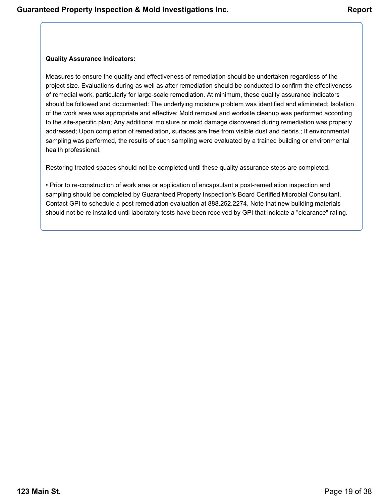### **Quality Assurance Indicators:**

Measures to ensure the quality and effectiveness of remediation should be undertaken regardless of the project size. Evaluations during as well as after remediation should be conducted to confirm the effectiveness of remedial work, particularly for large-scale remediation. At minimum, these quality assurance indicators should be followed and documented: The underlying moisture problem was identified and eliminated; Isolation of the work area was appropriate and effective; Mold removal and worksite cleanup was performed according to the site-specific plan; Any additional moisture or mold damage discovered during remediation was properly addressed; Upon completion of remediation, surfaces are free from visible dust and debris.; If environmental sampling was performed, the results of such sampling were evaluated by a trained building or environmental health professional.

Restoring treated spaces should not be completed until these quality assurance steps are completed.

• Prior to re-construction of work area or application of encapsulant a post-remediation inspection and sampling should be completed by Guaranteed Property Inspection's Board Certified Microbial Consultant. Contact GPI to schedule a post remediation evaluation at 888.252.2274. Note that new building materials should not be re installed until laboratory tests have been received by GPI that indicate a "clearance" rating.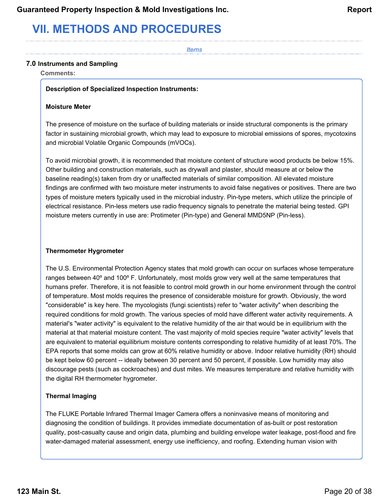# <span id="page-19-0"></span>**VII. METHODS AND PROCEDURES**

*Items*

### **7.0 Instruments and Sampling**

**Comments:**

### **Description of Specialized Inspection Instruments:**

### **Moisture Meter**

The presence of moisture on the surface of building materials or inside structural components is the primary factor in sustaining microbial growth, which may lead to exposure to microbial emissions of spores, mycotoxins and microbial Volatile Organic Compounds (mVOCs).

To avoid microbial growth, it is recommended that moisture content of structure wood products be below 15%. Other building and construction materials, such as drywall and plaster, should measure at or below the baseline reading(s) taken from dry or unaffected materials of similar composition. All elevated moisture findings are confirmed with two moisture meter instruments to avoid false negatives or positives. There are two types of moisture meters typically used in the microbial industry. Pin-type meters, which utilize the principle of electrical resistance. Pin-less meters use radio frequency signals to penetrate the material being tested. GPI moisture meters currently in use are: Protimeter (Pin-type) and General MMD5NP (Pin-less).

### **Thermometer Hygrometer**

The U.S. Environmental Protection Agency states that mold growth can occur on surfaces whose temperature ranges between 40º and 100º F. Unfortunately, most molds grow very well at the same temperatures that humans prefer. Therefore, it is not feasible to control mold growth in our home environment through the control of temperature. Most molds requires the presence of considerable moisture for growth. Obviously, the word "considerable" is key here. The mycologists (fungi scientists) refer to "water activity" when describing the required conditions for mold growth. The various species of mold have different water activity requirements. A material's "water activity" is equivalent to the relative humidity of the air that would be in equilibrium with the material at that material moisture content. The vast majority of mold species require "water activity" levels that are equivalent to material equilibrium moisture contents corresponding to relative humidity of at least 70%. The EPA reports that some molds can grow at 60% relative humidity or above. Indoor relative humidity (RH) should be kept below 60 percent -- ideally between 30 percent and 50 percent, if possible. Low humidity may also discourage pests (such as cockroaches) and dust mites. We measures temperature and relative humidity with the digital RH thermometer hygrometer.

### **Thermal Imaging**

The FLUKE Portable Infrared Thermal Imager Camera offers a noninvasive means of monitoring and diagnosing the condition of buildings. It provides immediate documentation of as-built or post restoration quality, post-casualty cause and origin data, plumbing and building envelope water leakage, post-flood and fire water-damaged material assessment, energy use inefficiency, and roofing. Extending human vision with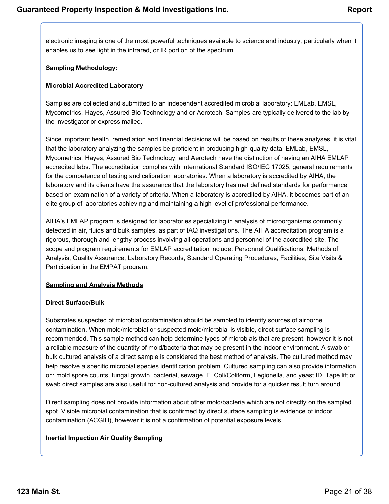electronic imaging is one of the most powerful techniques available to science and industry, particularly when it enables us to see light in the infrared, or IR portion of the spectrum.

### **Sampling Methodology:**

### **Microbial Accredited Laboratory**

Samples are collected and submitted to an independent accredited microbial laboratory: EMLab, EMSL, Mycometrics, Hayes, Assured Bio Technology and or Aerotech. Samples are typically delivered to the lab by the investigator or express mailed.

Since important health, remediation and financial decisions will be based on results of these analyses, it is vital that the laboratory analyzing the samples be proficient in producing high quality data. EMLab, EMSL, Mycometrics, Hayes, Assured Bio Technology, and Aerotech have the distinction of having an AIHA EMLAP accredited labs. The accreditation complies with International Standard ISO/IEC 17025, general requirements for the competence of testing and calibration laboratories. When a laboratory is accredited by AIHA, the laboratory and its clients have the assurance that the laboratory has met defined standards for performance based on examination of a variety of criteria. When a laboratory is accredited by AIHA, it becomes part of an elite group of laboratories achieving and maintaining a high level of professional performance.

AIHA's EMLAP program is designed for laboratories specializing in analysis of microorganisms commonly detected in air, fluids and bulk samples, as part of IAQ investigations. The AIHA accreditation program is a rigorous, thorough and lengthy process involving all operations and personnel of the accredited site. The scope and program requirements for EMLAP accreditation include: Personnel Qualifications, Methods of Analysis, Quality Assurance, Laboratory Records, Standard Operating Procedures, Facilities, Site Visits & Participation in the EMPAT program.

### **Sampling and Analysis Methods**

### **Direct Surface/Bulk**

Substrates suspected of microbial contamination should be sampled to identify sources of airborne contamination. When mold/microbial or suspected mold/microbial is visible, direct surface sampling is recommended. This sample method can help determine types of microbials that are present, however it is not a reliable measure of the quantity of mold/bacteria that may be present in the indoor environment. A swab or bulk cultured analysis of a direct sample is considered the best method of analysis. The cultured method may help resolve a specific microbial species identification problem. Cultured sampling can also provide information on: mold spore counts, fungal growth, bacterial, sewage, E. Coli/Coliform, Legionella, and yeast ID. Tape lift or swab direct samples are also useful for non-cultured analysis and provide for a quicker result turn around.

Direct sampling does not provide information about other mold/bacteria which are not directly on the sampled spot. Visible microbial contamination that is confirmed by direct surface sampling is evidence of indoor contamination (ACGIH), however it is not a confirmation of potential exposure levels.

### **Inertial Impaction Air Quality Sampling**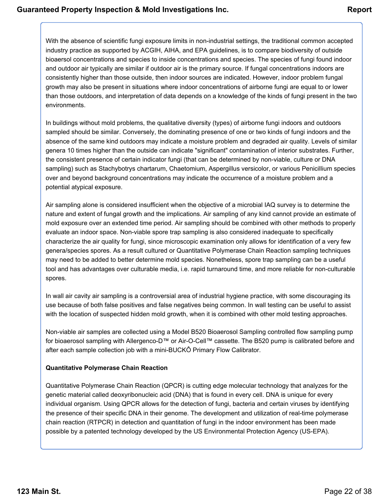With the absence of scientific fungi exposure limits in non-industrial settings, the traditional common accepted industry practice as supported by ACGIH, AIHA, and EPA guidelines, is to compare biodiversity of outside bioaersol concentrations and species to inside concentrations and species. The species of fungi found indoor and outdoor air typically are similar if outdoor air is the primary source. If fungal concentrations indoors are consistently higher than those outside, then indoor sources are indicated. However, indoor problem fungal growth may also be present in situations where indoor concentrations of airborne fungi are equal to or lower than those outdoors, and interpretation of data depends on a knowledge of the kinds of fungi present in the two environments.

In buildings without mold problems, the qualitative diversity (types) of airborne fungi indoors and outdoors sampled should be similar. Conversely, the dominating presence of one or two kinds of fungi indoors and the absence of the same kind outdoors may indicate a moisture problem and degraded air quality. Levels of similar genera 10 times higher than the outside can indicate "significant" contamination of interior substrates. Further, the consistent presence of certain indicator fungi (that can be determined by non-viable, culture or DNA sampling) such as Stachybotrys chartarum, Chaetomium, Aspergillus versicolor, or various Penicillium species over and beyond background concentrations may indicate the occurrence of a moisture problem and a potential atypical exposure.

Air sampling alone is considered insufficient when the objective of a microbial IAQ survey is to determine the nature and extent of fungal growth and the implications. Air sampling of any kind cannot provide an estimate of mold exposure over an extended time period. Air sampling should be combined with other methods to properly evaluate an indoor space. Non-viable spore trap sampling is also considered inadequate to specifically characterize the air quality for fungi, since microscopic examination only allows for identification of a very few genera/species spores. As a result cultured or Quantitative Polymerase Chain Reaction sampling techniques may need to be added to better determine mold species. Nonetheless, spore trap sampling can be a useful tool and has advantages over culturable media, i.e. rapid turnaround time, and more reliable for non-culturable spores.

In wall air cavity air sampling is a controversial area of industrial hygiene practice, with some discouraging its use because of both false positives and false negatives being common. In wall testing can be useful to assist with the location of suspected hidden mold growth, when it is combined with other mold testing approaches.

Non-viable air samples are collected using a Model B520 Bioaerosol Sampling controlled flow sampling pump for bioaerosol sampling with Allergenco-D™ or Air-O-Cell™ cassette. The B520 pump is calibrated before and after each sample collection job with a mini-BUCKÔ Primary Flow Calibrator.

### **Quantitative Polymerase Chain Reaction**

Quantitative Polymerase Chain Reaction (QPCR) is cutting edge molecular technology that analyzes for the genetic material called deoxyribonucleic acid (DNA) that is found in every cell. DNA is unique for every individual organism. Using QPCR allows for the detection of fungi, bacteria and certain viruses by identifying the presence of their specific DNA in their genome. The development and utilization of real-time polymerase chain reaction (RTPCR) in detection and quantitation of fungi in the indoor environment has been made possible by a patented technology developed by the US Environmental Protection Agency (US-EPA).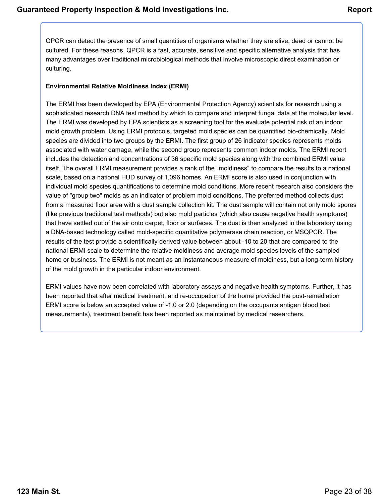QPCR can detect the presence of small quantities of organisms whether they are alive, dead or cannot be cultured. For these reasons, QPCR is a fast, accurate, sensitive and specific alternative analysis that has many advantages over traditional microbiological methods that involve microscopic direct examination or culturing.

### **Environmental Relative Moldiness Index (ERMI)**

The ERMI has been developed by EPA (Environmental Protection Agency) scientists for research using a sophisticated research DNA test method by which to compare and interpret fungal data at the molecular level. The ERMI was developed by EPA scientists as a screening tool for the evaluate potential risk of an indoor mold growth problem. Using ERMI protocols, targeted mold species can be quantified bio-chemically. Mold species are divided into two groups by the ERMI. The first group of 26 indicator species represents molds associated with water damage, while the second group represents common indoor molds. The ERMI report includes the detection and concentrations of 36 specific mold species along with the combined ERMI value itself. The overall ERMI measurement provides a rank of the "moldiness" to compare the results to a national scale, based on a national HUD survey of 1,096 homes. An ERMI score is also used in conjunction with individual mold species quantifications to determine mold conditions. More recent research also considers the value of "group two" molds as an indicator of problem mold conditions. The preferred method collects dust from a measured floor area with a dust sample collection kit. The dust sample will contain not only mold spores (like previous traditional test methods) but also mold particles (which also cause negative health symptoms) that have settled out of the air onto carpet, floor or surfaces. The dust is then analyzed in the laboratory using a DNA-based technology called mold-specific quantitative polymerase chain reaction, or MSQPCR. The results of the test provide a scientifically derived value between about -10 to 20 that are compared to the national ERMI scale to determine the relative moldiness and average mold species levels of the sampled home or business. The ERMI is not meant as an instantaneous measure of moldiness, but a long-term history of the mold growth in the particular indoor environment.

ERMI values have now been correlated with laboratory assays and negative health symptoms. Further, it has been reported that after medical treatment, and re-occupation of the home provided the post-remediation ERMI score is below an accepted value of -1.0 or 2.0 (depending on the occupants antigen blood test measurements), treatment benefit has been reported as maintained by medical researchers.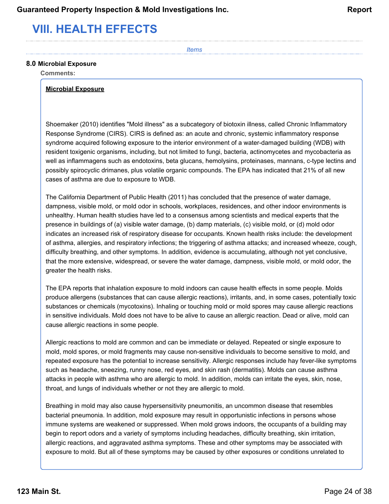# <span id="page-23-0"></span>**VIII. HEALTH EFFECTS**

*Items*

#### **8.0 Microbial Exposure**

**Comments:**

#### **Microbial Exposure**

Shoemaker (2010) identifies "Mold illness" as a subcategory of biotoxin illness, called Chronic Inflammatory Response Syndrome (CIRS). CIRS is defined as: an acute and chronic, systemic inflammatory response syndrome acquired following exposure to the interior environment of a water-damaged building (WDB) with resident toxigenic organisms, including, but not limited to fungi, bacteria, actinomycetes and mycobacteria as well as inflammagens such as endotoxins, beta glucans, hemolysins, proteinases, mannans, c-type lectins and possibly spirocyclic drimanes, plus volatile organic compounds. The EPA has indicated that 21% of all new cases of asthma are due to exposure to WDB.

The California Department of Public Health (2011) has concluded that the presence of water damage, dampness, visible mold, or mold odor in schools, workplaces, residences, and other indoor environments is unhealthy. Human health studies have led to a consensus among scientists and medical experts that the presence in buildings of (a) visible water damage, (b) damp materials, (c) visible mold, or (d) mold odor indicates an increased risk of respiratory disease for occupants. Known health risks include: the development of asthma, allergies, and respiratory infections; the triggering of asthma attacks; and increased wheeze, cough, difficulty breathing, and other symptoms. In addition, evidence is accumulating, although not yet conclusive, that the more extensive, widespread, or severe the water damage, dampness, visible mold, or mold odor, the greater the health risks.

The EPA reports that inhalation exposure to mold indoors can cause health effects in some people. Molds produce allergens (substances that can cause allergic reactions), irritants, and, in some cases, potentially toxic substances or chemicals (mycotoxins). Inhaling or touching mold or mold spores may cause allergic reactions in sensitive individuals. Mold does not have to be alive to cause an allergic reaction. Dead or alive, mold can cause allergic reactions in some people.

Allergic reactions to mold are common and can be immediate or delayed. Repeated or single exposure to mold, mold spores, or mold fragments may cause non-sensitive individuals to become sensitive to mold, and repeated exposure has the potential to increase sensitivity. Allergic responses include hay fever-like symptoms such as headache, sneezing, runny nose, red eyes, and skin rash (dermatitis). Molds can cause asthma attacks in people with asthma who are allergic to mold. In addition, molds can irritate the eyes, skin, nose, throat, and lungs of individuals whether or not they are allergic to mold.

Breathing in mold may also cause hypersensitivity pneumonitis, an uncommon disease that resembles bacterial pneumonia. In addition, mold exposure may result in opportunistic infections in persons whose immune systems are weakened or suppressed. When mold grows indoors, the occupants of a building may begin to report odors and a variety of symptoms including headaches, difficulty breathing, skin irritation, allergic reactions, and aggravated asthma symptoms. These and other symptoms may be associated with exposure to mold. But all of these symptoms may be caused by other exposures or conditions unrelated to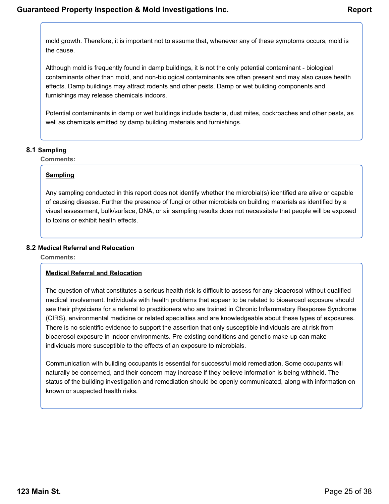mold growth. Therefore, it is important not to assume that, whenever any of these symptoms occurs, mold is the cause.

Although mold is frequently found in damp buildings, it is not the only potential contaminant - biological contaminants other than mold, and non-biological contaminants are often present and may also cause health effects. Damp buildings may attract rodents and other pests. Damp or wet building components and furnishings may release chemicals indoors.

Potential contaminants in damp or wet buildings include bacteria, dust mites, cockroaches and other pests, as well as chemicals emitted by damp building materials and furnishings.

### **8.1 Sampling**

**Comments:**

### **Sampling**

Any sampling conducted in this report does not identify whether the microbial(s) identified are alive or capable of causing disease. Further the presence of fungi or other microbials on building materials as identified by a visual assessment, bulk/surface, DNA, or air sampling results does not necessitate that people will be exposed to toxins or exhibit health effects.

### **8.2 Medical Referral and Relocation**

**Comments:**

### **Medical Referral and Relocation**

The question of what constitutes a serious health risk is difficult to assess for any bioaerosol without qualified medical involvement. Individuals with health problems that appear to be related to bioaerosol exposure should see their physicians for a referral to practitioners who are trained in Chronic Inflammatory Response Syndrome (CIRS), environmental medicine or related specialties and are knowledgeable about these types of exposures. There is no scientific evidence to support the assertion that only susceptible individuals are at risk from bioaerosol exposure in indoor environments. Pre-existing conditions and genetic make-up can make individuals more susceptible to the effects of an exposure to microbials.

Communication with building occupants is essential for successful mold remediation. Some occupants will naturally be concerned, and their concern may increase if they believe information is being withheld. The status of the building investigation and remediation should be openly communicated, along with information on known or suspected health risks.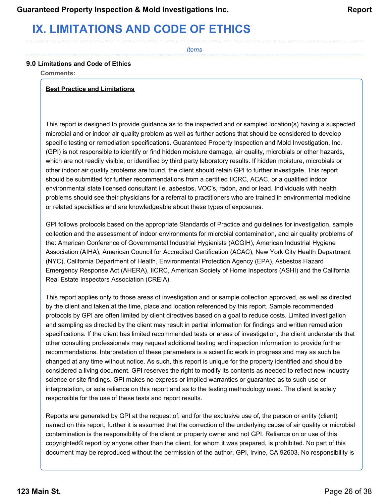# <span id="page-25-0"></span>**IX. LIMITATIONS AND CODE OF ETHICS**

*Items*

### **9.0 Limitations and Code of Ethics**

**Comments:**

### **Best Practice and Limitations**

This report is designed to provide guidance as to the inspected and or sampled location(s) having a suspected microbial and or indoor air quality problem as well as further actions that should be considered to develop specific testing or remediation specifications. Guaranteed Property Inspection and Mold Investigation, Inc. (GPI) is not responsible to identify or find hidden moisture damage, air quality, microbials or other hazards, which are not readily visible, or identified by third party laboratory results. If hidden moisture, microbials or other indoor air quality problems are found, the client should retain GPI to further investigate. This report should be submitted for further recommendations from a certified IICRC, ACAC, or a qualified indoor environmental state licensed consultant i.e. asbestos, VOC's, radon, and or lead. Individuals with health problems should see their physicians for a referral to practitioners who are trained in environmental medicine or related specialties and are knowledgeable about these types of exposures.

GPI follows protocols based on the appropriate Standards of Practice and guidelines for investigation, sample collection and the assessment of indoor environments for microbial contamination, and air quality problems of the: American Conference of Governmental Industrial Hygienists (ACGIH), American Industrial Hygiene Association (AIHA), American Council for Accredited Certification (ACAC), New York City Health Department (NYC), California Department of Health, Environmental Protection Agency (EPA), Asbestos Hazard Emergency Response Act (AHERA), IICRC, American Society of Home Inspectors (ASHI) and the California Real Estate Inspectors Association (CREIA).

This report applies only to those areas of investigation and or sample collection approved, as well as directed by the client and taken at the time, place and location referenced by this report. Sample recommended protocols by GPI are often limited by client directives based on a goal to reduce costs. Limited investigation and sampling as directed by the client may result in partial information for findings and written remediation specifications. If the client has limited recommended tests or areas of investigation, the client understands that other consulting professionals may request additional testing and inspection information to provide further recommendations. Interpretation of these parameters is a scientific work in progress and may as such be changed at any time without notice. As such, this report is unique for the property identified and should be considered a living document. GPI reserves the right to modify its contents as needed to reflect new industry science or site findings. GPI makes no express or implied warranties or guarantee as to such use or interpretation, or sole reliance on this report and as to the testing methodology used. The client is solely responsible for the use of these tests and report results.

Reports are generated by GPI at the request of, and for the exclusive use of, the person or entity (client) named on this report, further it is assumed that the correction of the underlying cause of air quality or microbial contamination is the responsibility of the client or property owner and not GPI. Reliance on or use of this copyrighted© report by anyone other than the client, for whom it was prepared, is prohibited. No part of this document may be reproduced without the permission of the author, GPI, Irvine, CA 92603. No responsibility is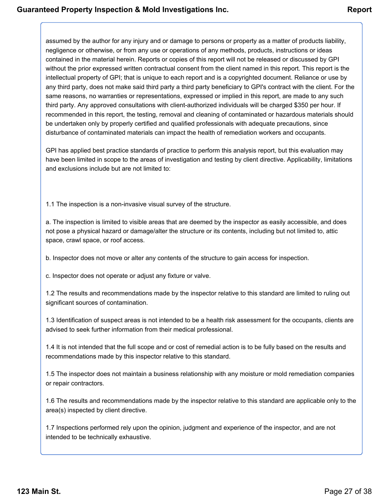assumed by the author for any injury and or damage to persons or property as a matter of products liability, negligence or otherwise, or from any use or operations of any methods, products, instructions or ideas contained in the material herein. Reports or copies of this report will not be released or discussed by GPI without the prior expressed written contractual consent from the client named in this report. This report is the intellectual property of GPI; that is unique to each report and is a copyrighted document. Reliance or use by any third party, does not make said third party a third party beneficiary to GPI's contract with the client. For the same reasons, no warranties or representations, expressed or implied in this report, are made to any such third party. Any approved consultations with client-authorized individuals will be charged \$350 per hour. If recommended in this report, the testing, removal and cleaning of contaminated or hazardous materials should be undertaken only by properly certified and qualified professionals with adequate precautions, since disturbance of contaminated materials can impact the health of remediation workers and occupants.

GPI has applied best practice standards of practice to perform this analysis report, but this evaluation may have been limited in scope to the areas of investigation and testing by client directive. Applicability, limitations and exclusions include but are not limited to:

1.1 The inspection is a non-invasive visual survey of the structure.

a. The inspection is limited to visible areas that are deemed by the inspector as easily accessible, and does not pose a physical hazard or damage/alter the structure or its contents, including but not limited to, attic space, crawl space, or roof access.

b. Inspector does not move or alter any contents of the structure to gain access for inspection.

c. Inspector does not operate or adjust any fixture or valve.

1.2 The results and recommendations made by the inspector relative to this standard are limited to ruling out significant sources of contamination.

1.3 Identification of suspect areas is not intended to be a health risk assessment for the occupants, clients are advised to seek further information from their medical professional.

1.4 It is not intended that the full scope and or cost of remedial action is to be fully based on the results and recommendations made by this inspector relative to this standard.

1.5 The inspector does not maintain a business relationship with any moisture or mold remediation companies or repair contractors.

1.6 The results and recommendations made by the inspector relative to this standard are applicable only to the area(s) inspected by client directive.

1.7 Inspections performed rely upon the opinion, judgment and experience of the inspector, and are not intended to be technically exhaustive.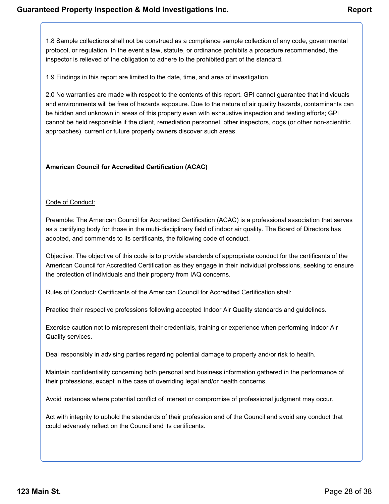1.8 Sample collections shall not be construed as a compliance sample collection of any code, governmental protocol, or regulation. In the event a law, statute, or ordinance prohibits a procedure recommended, the inspector is relieved of the obligation to adhere to the prohibited part of the standard.

1.9 Findings in this report are limited to the date, time, and area of investigation.

2.0 No warranties are made with respect to the contents of this report. GPI cannot guarantee that individuals and environments will be free of hazards exposure. Due to the nature of air quality hazards, contaminants can be hidden and unknown in areas of this property even with exhaustive inspection and testing efforts; GPI cannot be held responsible if the client, remediation personnel, other inspectors, dogs (or other non-scientific approaches), current or future property owners discover such areas.

### **American Council for Accredited Certification (ACAC)**

### Code of Conduct:

Preamble: The American Council for Accredited Certification (ACAC) is a professional association that serves as a certifying body for those in the multi-disciplinary field of indoor air quality. The Board of Directors has adopted, and commends to its certificants, the following code of conduct.

Objective: The objective of this code is to provide standards of appropriate conduct for the certificants of the American Council for Accredited Certification as they engage in their individual professions, seeking to ensure the protection of individuals and their property from IAQ concerns.

Rules of Conduct: Certificants of the American Council for Accredited Certification shall:

Practice their respective professions following accepted Indoor Air Quality standards and guidelines.

Exercise caution not to misrepresent their credentials, training or experience when performing Indoor Air Quality services.

Deal responsibly in advising parties regarding potential damage to property and/or risk to health.

Maintain confidentiality concerning both personal and business information gathered in the performance of their professions, except in the case of overriding legal and/or health concerns.

Avoid instances where potential conflict of interest or compromise of professional judgment may occur.

Act with integrity to uphold the standards of their profession and of the Council and avoid any conduct that could adversely reflect on the Council and its certificants.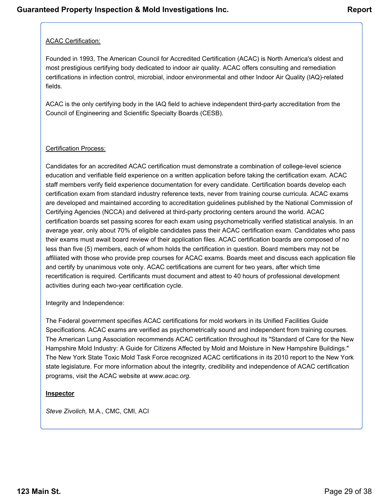### ACAC Certification:

Founded in 1993, The American Council for Accredited Certification (ACAC) is North America's oldest and most prestigious certifying body dedicated to indoor air quality. ACAC offers consulting and remediation certifications in infection control, microbial, indoor environmental and other Indoor Air Quality (IAQ)-related fields.

ACAC is the only certifying body in the IAQ field to achieve independent third-party accreditation from the Council of Engineering and Scientific Specialty Boards (CESB).

### Certification Process:

Candidates for an accredited ACAC certification must demonstrate a combination of college-level science education and verifiable field experience on a written application before taking the certification exam. ACAC staff members verify field experience documentation for every candidate. Certification boards develop each certification exam from standard industry reference texts, never from training course curricula. ACAC exams are developed and maintained according to accreditation guidelines published by the National Commission of Certifying Agencies (NCCA) and delivered at third-party proctoring centers around the world. ACAC certification boards set passing scores for each exam using psychometrically verified statistical analysis. In an average year, only about 70% of eligible candidates pass their ACAC certification exam. Candidates who pass their exams must await board review of their application files. ACAC certification boards are composed of no less than five (5) members, each of whom holds the certification in question. Board members may not be affiliated with those who provide prep courses for ACAC exams. Boards meet and discuss each application file and certify by unanimous vote only. ACAC certifications are current for two years, after which time recertification is required. Certificants must document and attest to 40 hours of professional development activities during each two-year certification cycle.

Integrity and Independence:

The Federal government specifies ACAC certifications for mold workers in its Unified Facilities Guide Specifications. ACAC exams are verified as psychometrically sound and independent from training courses. The American Lung Association recommends ACAC certification throughout its "Standard of Care for the New Hampshire Mold Industry: A Guide for Citizens Affected by Mold and Moisture in New Hampshire Buildings." The New York State Toxic Mold Task Force recognized ACAC certifications in its 2010 report to the New York state legislature. For more information about the integrity, credibility and independence of ACAC certification programs, visit the ACAC website at *www.acac.org.*

### **Inspector**

*Steve Zivolich,* M.A., CMC, CMI, ACI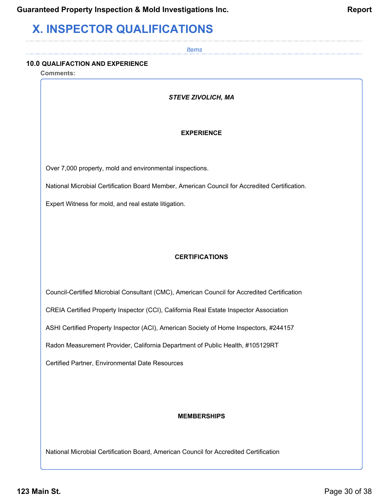# <span id="page-29-0"></span>**X. INSPECTOR QUALIFICATIONS**

*Items*

### **10.0 QUALIFACTION AND EXPERIENCE**

**Comments:**

### *STEVE ZIVOLICH, MA*

### **EXPERIENCE**

Over 7,000 property, mold and environmental inspections.

National Microbial Certification Board Member, American Council for Accredited Certification.

Expert Witness for mold, and real estate litigation.

### **CERTIFICATIONS**

Council-Certified Microbial Consultant (CMC), American Council for Accredited Certification

CREIA Certified Property Inspector (CCI), California Real Estate Inspector Association

ASHI Certified Property Inspector (ACI), American Society of Home Inspectors, #244157

Radon Measurement Provider, California Department of Public Health, #105129RT

Certified Partner, Environmental Date Resources

### **MEMBERSHIPS**

National Microbial Certification Board, American Council for Accredited Certification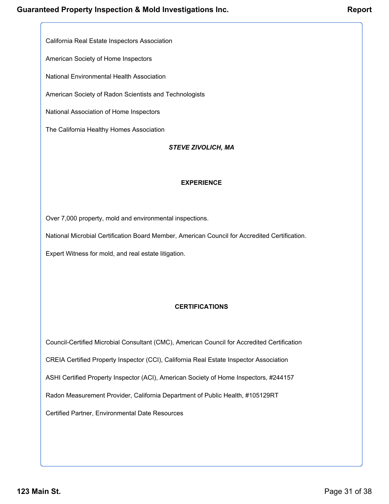California Real Estate Inspectors Association

American Society of Home Inspectors

National Environmental Health Association

American Society of Radon Scientists and Technologists

National Association of Home Inspectors

The California Healthy Homes Association

#### *STEVE ZIVOLICH, MA*

#### **EXPERIENCE**

Over 7,000 property, mold and environmental inspections.

National Microbial Certification Board Member, American Council for Accredited Certification.

Expert Witness for mold, and real estate litigation.

### **CERTIFICATIONS**

Council-Certified Microbial Consultant (CMC), American Council for Accredited Certification

CREIA Certified Property Inspector (CCI), California Real Estate Inspector Association

ASHI Certified Property Inspector (ACI), American Society of Home Inspectors, #244157

Radon Measurement Provider, California Department of Public Health, #105129RT

Certified Partner, Environmental Date Resources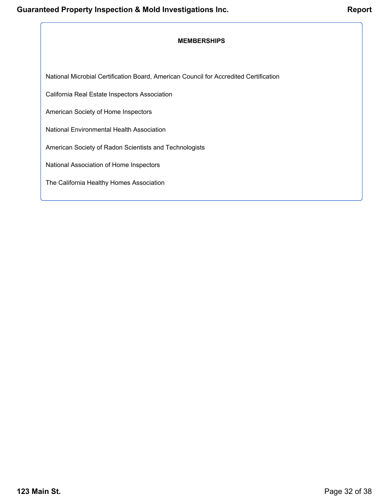### **MEMBERSHIPS**

National Microbial Certification Board, American Council for Accredited Certification

California Real Estate Inspectors Association

American Society of Home Inspectors

National Environmental Health Association

American Society of Radon Scientists and Technologists

National Association of Home Inspectors

The California Healthy Homes Association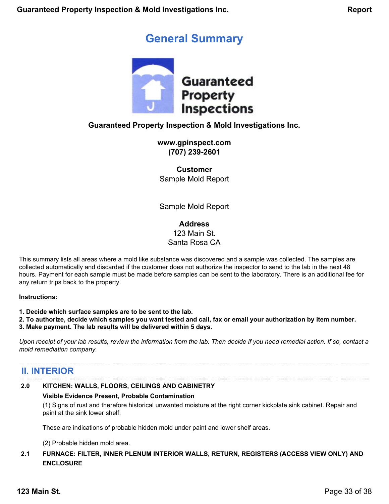## **General Summary**

<span id="page-32-0"></span>

### **Guaranteed Property Inspection & Mold Investigations Inc.**

**www.gpinspect.com (707) 239-2601**

**Customer** Sample Mold Report

Sample Mold Report

**Address** 123 Main St. Santa Rosa CA

This summary lists all areas where a mold like substance was discovered and a sample was collected. The samples are collected automatically and discarded if the customer does not authorize the inspector to send to the lab in the next 48 hours. Payment for each sample must be made before samples can be sent to the laboratory. There is an additional fee for any return trips back to the property.

**Instructions:**

**1. Decide which surface samples are to be sent to the lab.**

**2. To authorize, decide which samples you want tested and call, fax or email your authorization by item number.**

**3. Make payment. The lab results will be delivered within 5 days.**

*Upon receipt of your lab results, review the information from the lab. Then decide if you need remedial action. If so, contact a mold remediation company.*

### **II. INTERIOR**

### **2.0 KITCHEN: WALLS, FLOORS, CEILINGS AND CABINETRY**

### **Visible Evidence Present, Probable Contamination**

(1) Signs of rust and therefore historical unwanted moisture at the right corner kickplate sink cabinet. Repair and paint at the sink lower shelf.

These are indications of probable hidden mold under paint and lower shelf areas.

(2) Probable hidden mold area.

### **2.1 FURNACE: FILTER, INNER PLENUM INTERIOR WALLS, RETURN, REGISTERS (ACCESS VIEW ONLY) AND ENCLOSURE**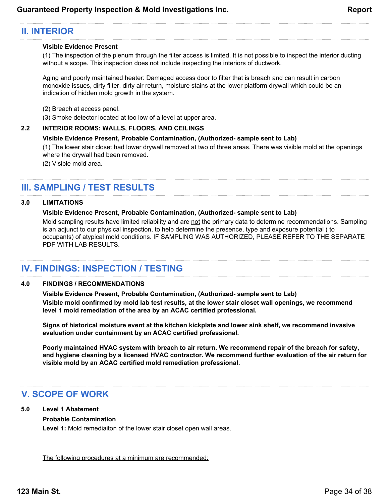### **II. INTERIOR**

### **Visible Evidence Present**

(1) The inspection of the plenum through the filter access is limited. It is not possible to inspect the interior ducting without a scope. This inspection does not include inspecting the interiors of ductwork.

Aging and poorly maintained heater: Damaged access door to filter that is breach and can result in carbon monoxide issues, dirty filter, dirty air return, moisture stains at the lower platform drywall which could be an indication of hidden mold growth in the system.

- (2) Breach at access panel.
- (3) Smoke detector located at too low of a level at upper area.

### **2.2 INTERIOR ROOMS: WALLS, FLOORS, AND CEILINGS**

#### **Visible Evidence Present, Probable Contamination, (Authorized- sample sent to Lab)**

(1) The lower stair closet had lower drywall removed at two of three areas. There was visible mold at the openings where the drywall had been removed.

(2) Visible mold area.

### **III. SAMPLING / TEST RESULTS**

#### **3.0 LIMITATIONS**

#### **Visible Evidence Present, Probable Contamination, (Authorized- sample sent to Lab)**

Mold sampling results have limited reliability and are not the primary data to determine recommendations. Sampling is an adjunct to our physical inspection, to help determine the presence, type and exposure potential ( to occupants) of atypical mold conditions. IF SAMPLING WAS AUTHORIZED, PLEASE REFER TO THE SEPARATE PDF WITH LAB RESULTS.

### **IV. FINDINGS: INSPECTION / TESTING**

#### **4.0 FINDINGS / RECOMMENDATIONS**

**Visible Evidence Present, Probable Contamination, (Authorized- sample sent to Lab) Visible mold confirmed by mold lab test results, at the lower stair closet wall openings, we recommend level 1 mold remediation of the area by an ACAC certified professional.**

**Signs of historical moisture event at the kitchen kickplate and lower sink shelf, we recommend invasive evaluation under containment by an ACAC certified professional.**

**Poorly maintained HVAC system with breach to air return. We recommend repair of the breach for safety, and hygiene cleaning by a licensed HVAC contractor. We recommend further evaluation of the air return for visible mold by an ACAC certified mold remediation professional.**

### **V. SCOPE OF WORK**

### **5.0 Level 1 Abatement**

### **Probable Contamination**

**Level 1:** Mold remediaiton of the lower stair closet open wall areas.

The following procedures at a minimum are recommended: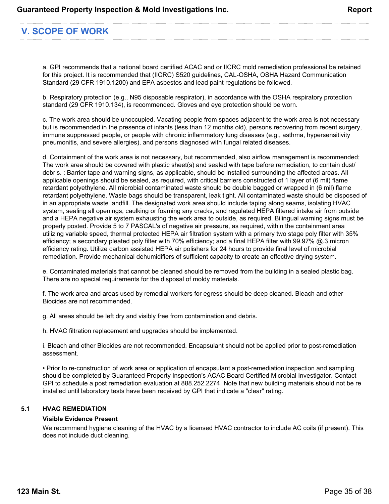### **V. SCOPE OF WORK**

a. GPI recommends that a national board certified ACAC and or IICRC mold remediation professional be retained for this project. It is recommended that (IICRC) S520 guidelines, CAL-OSHA, OSHA Hazard Communication Standard (29 CFR 1910.1200) and EPA asbestos and lead paint regulations be followed.

b. Respiratory protection (e.g., N95 disposable respirator), in accordance with the OSHA respiratory protection standard (29 CFR 1910.134), is recommended. Gloves and eye protection should be worn.

c. The work area should be unoccupied. Vacating people from spaces adjacent to the work area is not necessary but is recommended in the presence of infants (less than 12 months old), persons recovering from recent surgery, immune suppressed people, or people with chronic inflammatory lung diseases (e.g., asthma, hypersensitivity pneumonitis, and severe allergies), and persons diagnosed with fungal related diseases.

d. Containment of the work area is not necessary, but recommended, also airflow management is recommended; The work area should be covered with plastic sheet(s) and sealed with tape before remediation, to contain dust/ debris. : Barrier tape and warning signs, as applicable, should be installed surrounding the affected areas. All applicable openings should be sealed, as required, with critical barriers constructed of 1 layer of (6 mil) flame retardant polyethylene. All microbial contaminated waste should be double bagged or wrapped in (6 mil) flame retardant polyethylene. Waste bags should be transparent, leak tight. All contaminated waste should be disposed of in an appropriate waste landfill. The designated work area should include taping along seams, isolating HVAC system, sealing all openings, caulking or foaming any cracks, and regulated HEPA filtered intake air from outside and a HEPA negative air system exhausting the work area to outside, as required. Bilingual warning signs must be properly posted. Provide 5 to 7 PASCAL's of negative air pressure, as required, within the containment area utilizing variable speed, thermal protected HEPA air filtration system with a primary two stage poly filter with 35% efficiency; a secondary pleated poly filter with 70% efficiency; and a final HEPA filter with 99.97% @.3 micron efficiency rating. Utilize carbon assisted HEPA air polishers for 24 hours to provide final level of microbial remediation. Provide mechanical dehumidifiers of sufficient capacity to create an effective drying system.

e. Contaminated materials that cannot be cleaned should be removed from the building in a sealed plastic bag. There are no special requirements for the disposal of moldy materials.

f. The work area and areas used by remedial workers for egress should be deep cleaned. Bleach and other Biocides are not recommended.

g. All areas should be left dry and visibly free from contamination and debris.

h. HVAC filtration replacement and upgrades should be implemented.

i. Bleach and other Biocides are not recommended. Encapsulant should not be applied prior to post-remediation assessment.

• Prior to re-construction of work area or application of encapsulant a post-remediation inspection and sampling should be completed by Guaranteed Property Inspection's ACAC Board Certified Microbial Investigator. Contact GPI to schedule a post remediation evaluation at 888.252.2274. Note that new building materials should not be re installed until laboratory tests have been received by GPI that indicate a "clear" rating.

### **5.1 HVAC REMEDIATION**

### **Visible Evidence Present**

We recommend hygiene cleaning of the HVAC by a licensed HVAC contractor to include AC coils (if present). This does not include duct cleaning.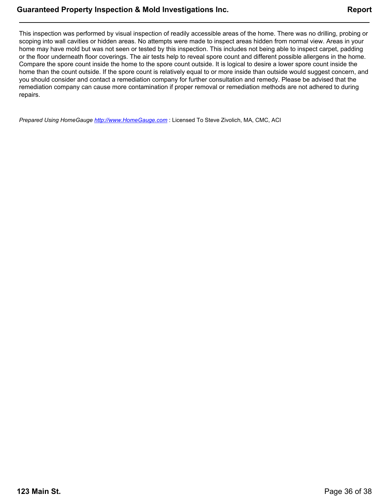This inspection was performed by visual inspection of readily accessible areas of the home. There was no drilling, probing or scoping into wall cavities or hidden areas. No attempts were made to inspect areas hidden from normal view. Areas in your home may have mold but was not seen or tested by this inspection. This includes not being able to inspect carpet, padding or the floor underneath floor coverings. The air tests help to reveal spore count and different possible allergens in the home. Compare the spore count inside the home to the spore count outside. It is logical to desire a lower spore count inside the home than the count outside. If the spore count is relatively equal to or more inside than outside would suggest concern, and you should consider and contact a remediation company for further consultation and remedy. Please be advised that the remediation company can cause more contamination if proper removal or remediation methods are not adhered to during repairs.

*Prepared Using HomeGauge <http://www.HomeGauge.com>* : Licensed To Steve Zivolich, MA, CMC, ACI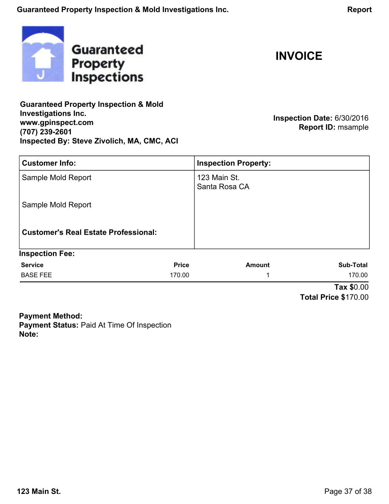<span id="page-36-0"></span>

**INVOICE**

**Guaranteed Property Inspection & Mold Investigations Inc. www.gpinspect.com (707) 239-2601 Inspected By: Steve Zivolich, MA, CMC, ACI**

**Inspection Date:** 6/30/2016 **Report ID:** msample

| <b>Customer Info:</b>                       |              | <b>Inspection Property:</b>   |                  |
|---------------------------------------------|--------------|-------------------------------|------------------|
| Sample Mold Report                          |              | 123 Main St.<br>Santa Rosa CA |                  |
| Sample Mold Report                          |              |                               |                  |
| <b>Customer's Real Estate Professional:</b> |              |                               |                  |
| <b>Inspection Fee:</b>                      |              |                               |                  |
| <b>Service</b>                              | <b>Price</b> | <b>Amount</b>                 | <b>Sub-Total</b> |
| <b>BASE FEE</b>                             | 170.00       | ◢                             | 170.00           |
|                                             |              |                               | Tax \$0.00       |

**Total Price \$**170.00

**Payment Method: Payment Status:** Paid At Time Of Inspection **Note:**